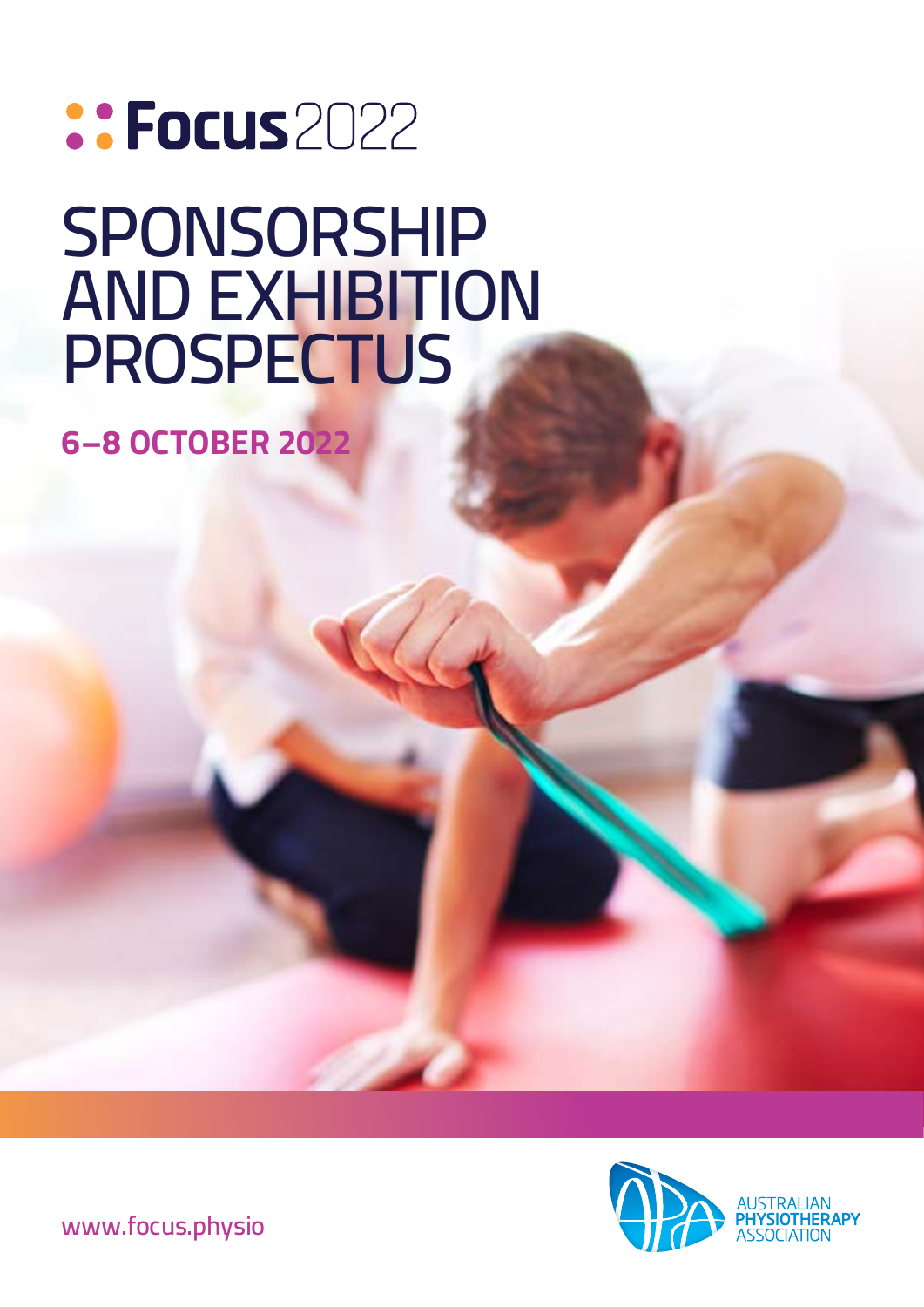# ::Focus2022 **SPONSORSHIP AND EXHIBITION PROSPECTUS**

**6–8 OCTOBER 2022**



**[www.focus.physio](https://focus.physio)**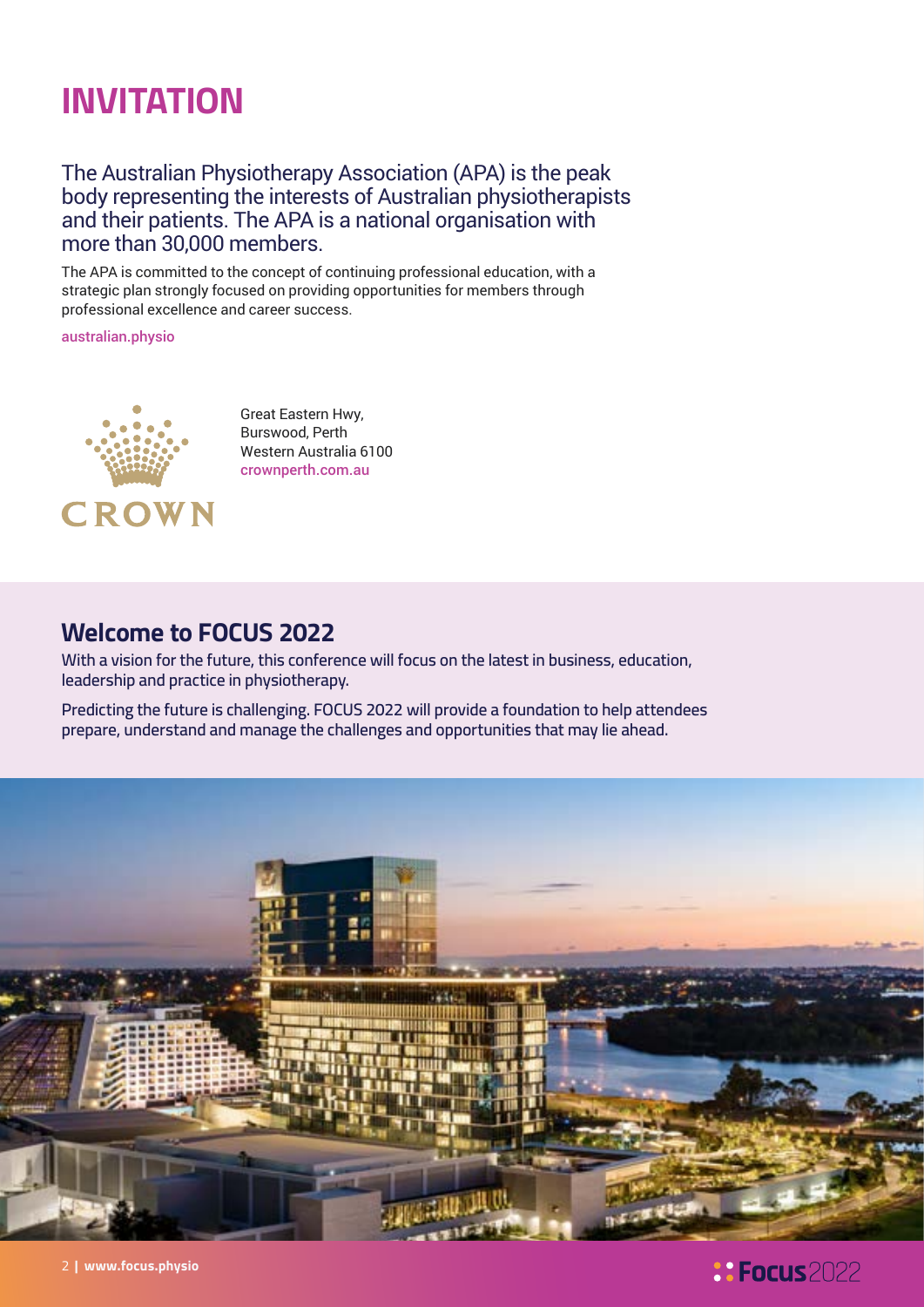## **INVITATION**

#### The Australian Physiotherapy Association (APA) is the peak body representing the interests of Australian physiotherapists and their patients. The APA is a national organisation with more than 30,000 members.

The APA is committed to the concept of continuing professional education, with a strategic plan strongly focused on providing opportunities for members through professional excellence and career success.

[australian.physio](https://australian.physio)



Great Eastern Hwy, Burswood, Perth Western Australia 6100 [crownperth.com.au](https://crownperth.com.au)

### **Welcome to FOCUS 2022**

**With a vision for the future, this conference will focus on the latest in business, education, leadership and practice in physiotherapy.**

**Predicting the future is challenging. FOCUS 2022 will provide a foundation to help attendees prepare, understand and manage the challenges and opportunities that may lie ahead.**



### *<u>: Focus</u> 2022*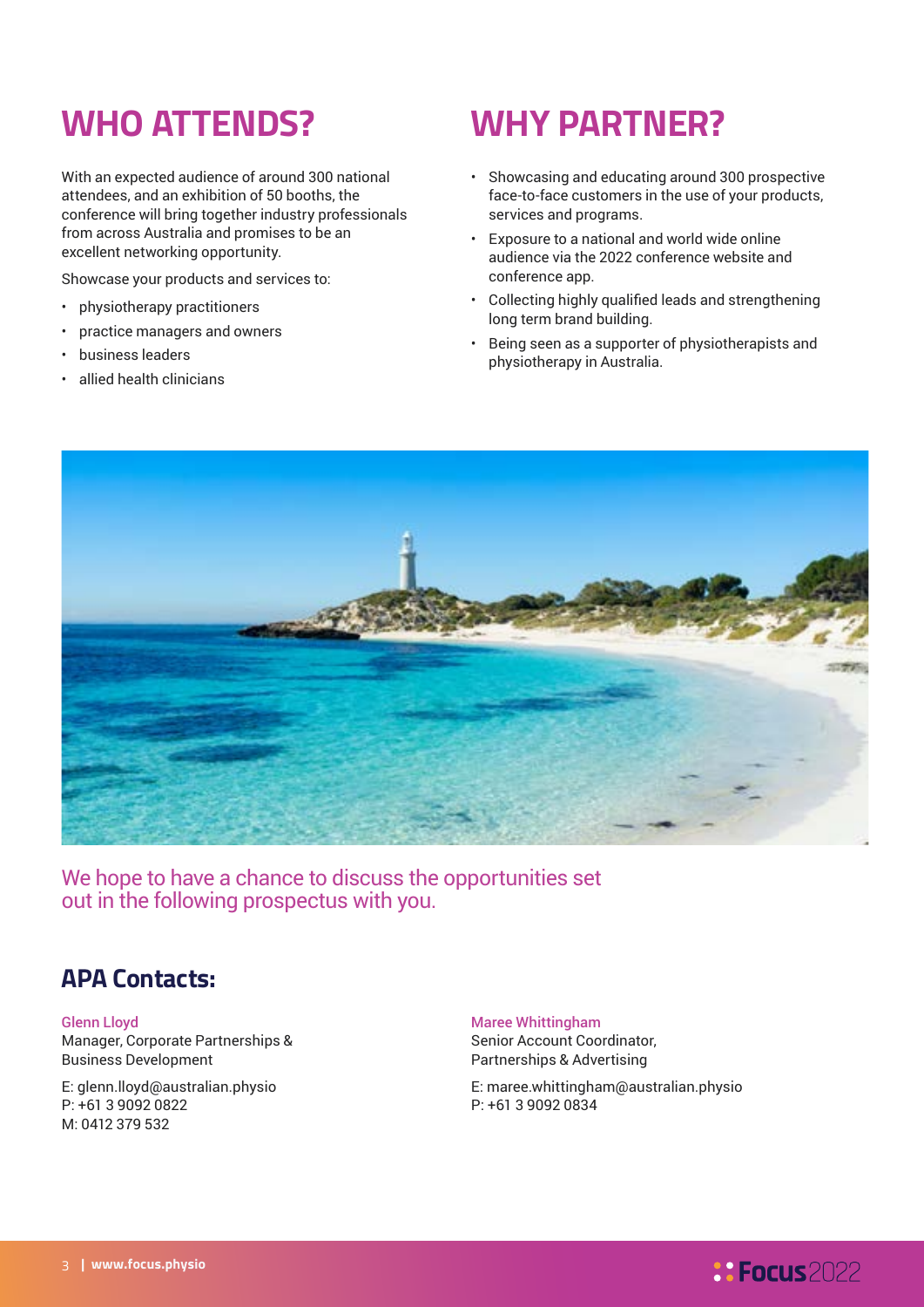## **WHO ATTENDS?**

With an expected audience of around 300 national attendees, and an exhibition of 50 booths, the conference will bring together industry professionals from across Australia and promises to be an excellent networking opportunity.

Showcase your products and services to:

- physiotherapy practitioners
- practice managers and owners
- business leaders
- allied health clinicians

## **WHY PARTNER?**

- Showcasing and educating around 300 prospective face-to-face customers in the use of your products, services and programs.
- Exposure to a national and world wide online audience via the 2022 conference website and conference app.
- Collecting highly qualified leads and strengthening long term brand building.
- Being seen as a supporter of physiotherapists and physiotherapy in Australia.



We hope to have a chance to discuss the opportunities set out in the following prospectus with you.

### **APA Contacts:**

Glenn Lloyd Manager, Corporate Partnerships & Business Development

E: glenn.lloyd@australian.physio P: +61 3 9092 0822 M: 0412 379 532

Maree Whittingham Senior Account Coordinator, Partnerships & Advertising

E: maree.whittingham@australian.physio P: +61 3 9092 0834

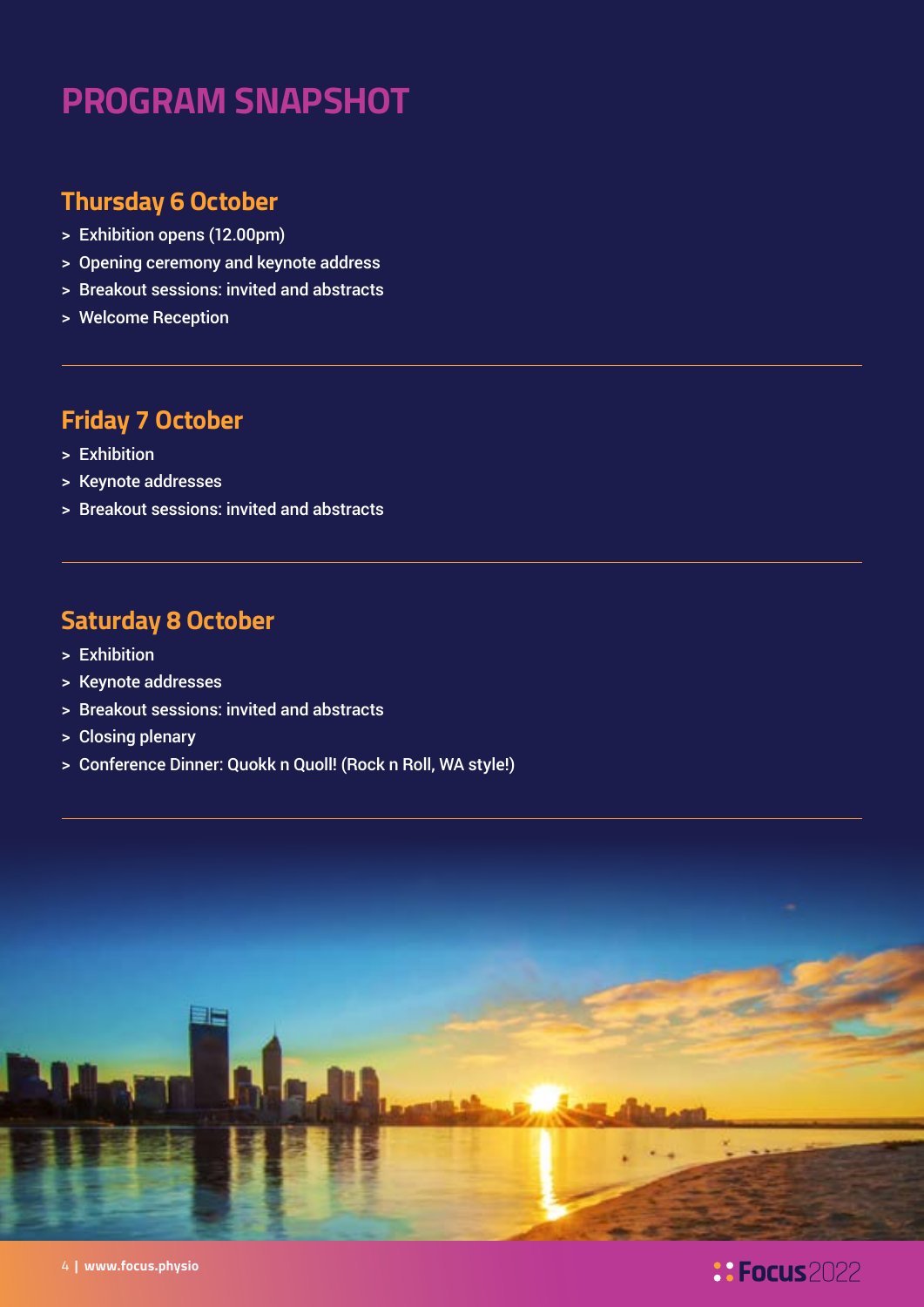## **PROGRAM SNAPSHOT**

### **Thursday 6 October**

- > Exhibition opens (12.00pm)
- > Opening ceremony and keynote address
- > Breakout sessions: invited and abstracts
- > Welcome Reception

### **Friday 7 October**

- > Exhibition
- > Keynote addresses
- > Breakout sessions: invited and abstracts

### **Saturday 8 October**

- > Exhibition
- > Keynote addresses
- > Breakout sessions: invited and abstracts
- > Closing plenary
- > Conference Dinner: Quokk n Quoll! (Rock n Roll, WA style!)



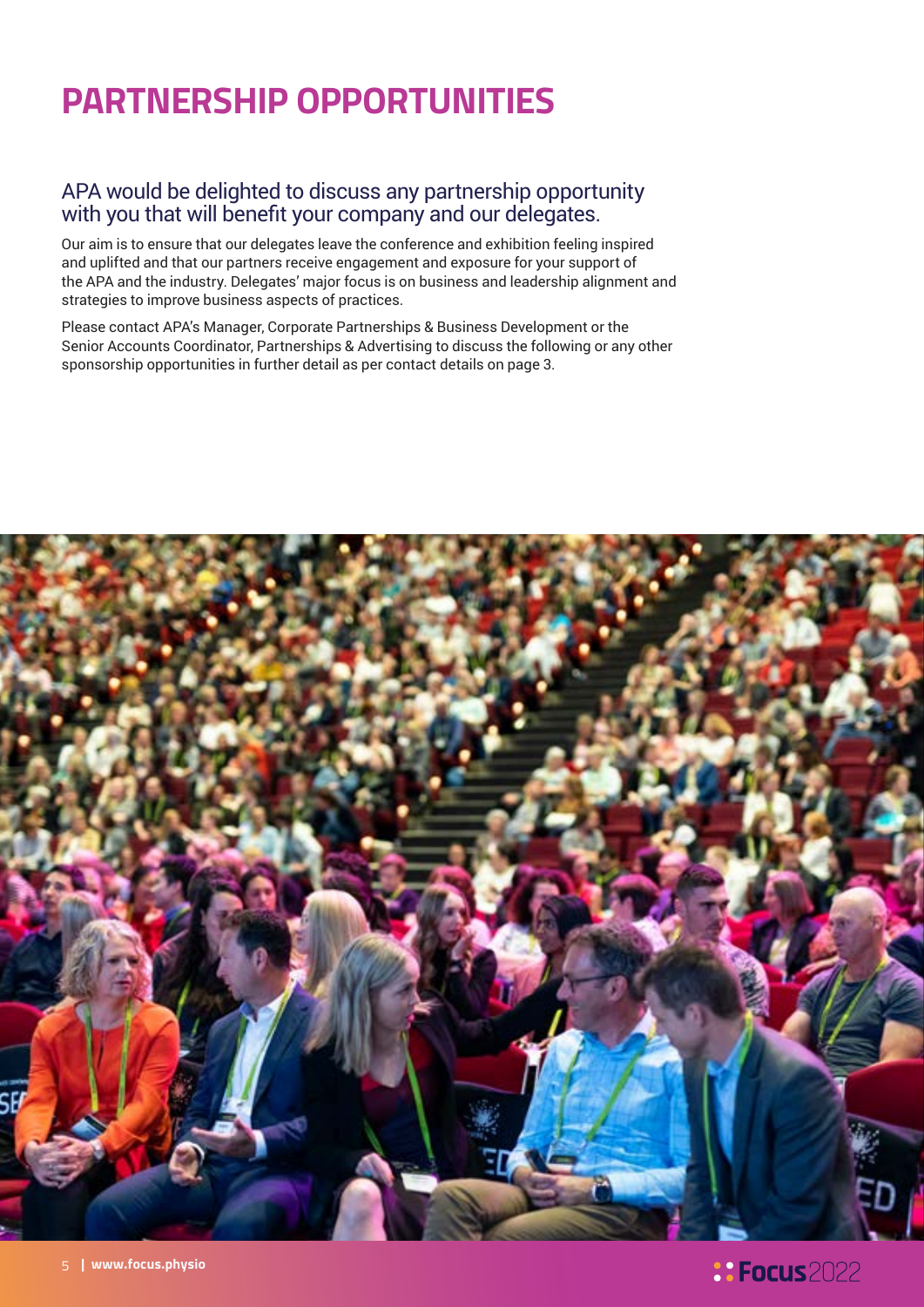## **PARTNERSHIP OPPORTUNITIES**

#### APA would be delighted to discuss any partnership opportunity with you that will benefit your company and our delegates.

Our aim is to ensure that our delegates leave the conference and exhibition feeling inspired and uplifted and that our partners receive engagement and exposure for your support of the APA and the industry. Delegates' major focus is on business and leadership alignment and strategies to improve business aspects of practices.

Please contact APA's Manager, Corporate Partnerships & Business Development or the Senior Accounts Coordinator, Partnerships & Advertising to discuss the following or any other sponsorship opportunities in further detail as per contact details on page 3.

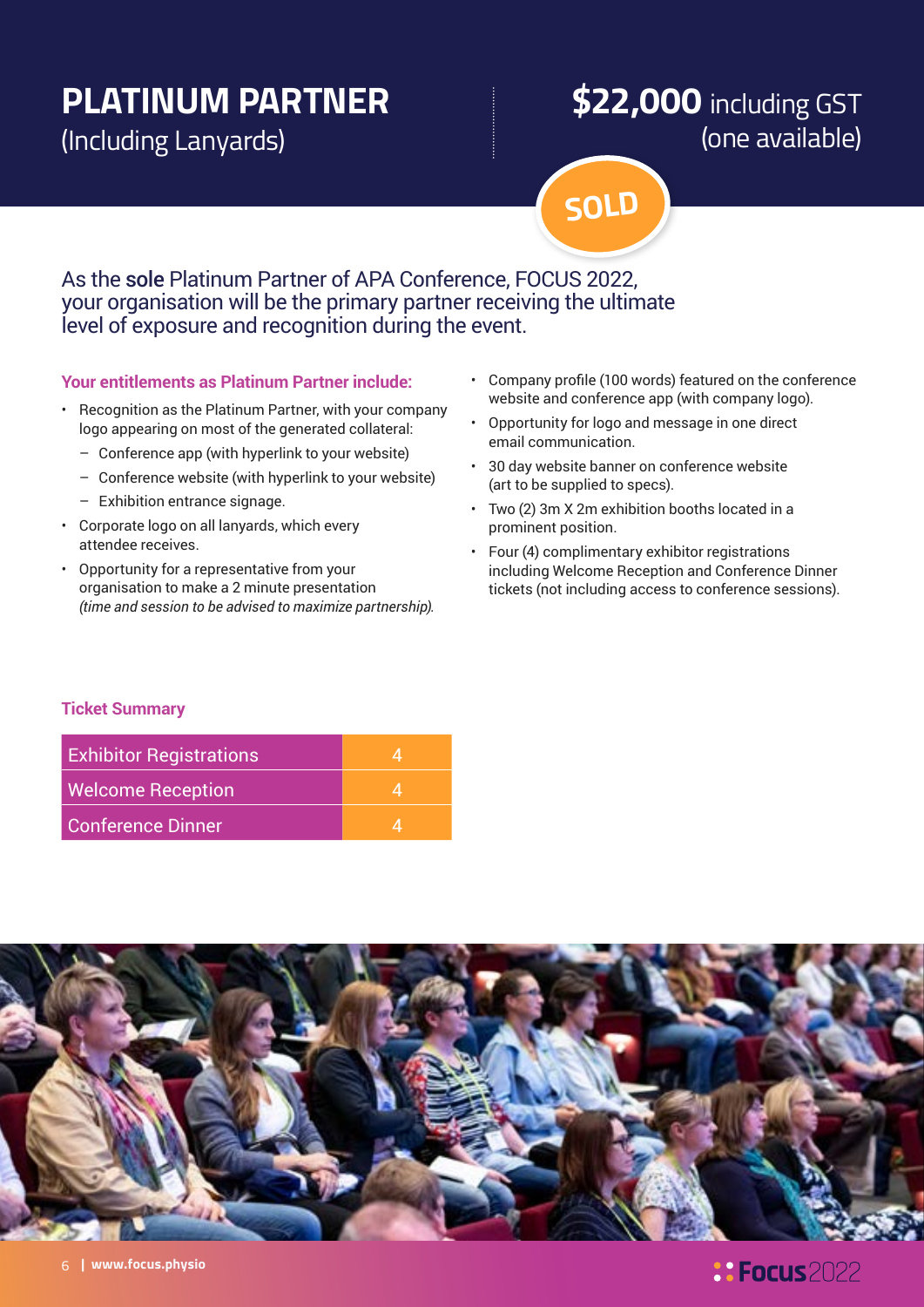## **PLATINUM PARTNER**

(Including Lanyards)

## **\$22,000** including GST (one available)

**SOLD**

### As the sole Platinum Partner of APA Conference, FOCUS 2022, your organisation will be the primary partner receiving the ultimate level of exposure and recognition during the event.

#### **Your entitlements as Platinum Partner include:**

- Recognition as the Platinum Partner, with your company logo appearing on most of the generated collateral:
	- Conference app (with hyperlink to your website)
	- Conference website (with hyperlink to your website)
	- Exhibition entrance signage.
- Corporate logo on all lanyards, which every attendee receives.
- Opportunity for a representative from your organisation to make a 2 minute presentation *(time and session to be advised to maximize partnership).*
- Company profile (100 words) featured on the conference website and conference app (with company logo).
- Opportunity for logo and message in one direct email communication.
- 30 day website banner on conference website (art to be supplied to specs).
- Two (2) 3m X 2m exhibition booths located in a prominent position.
- Four (4) complimentary exhibitor registrations including Welcome Reception and Conference Dinner tickets (not including access to conference sessions).

#### **Ticket Summary**

| <b>Exhibitor Registrations</b> |  |
|--------------------------------|--|
| <b>Welcome Reception</b>       |  |
| Conference Dinner              |  |

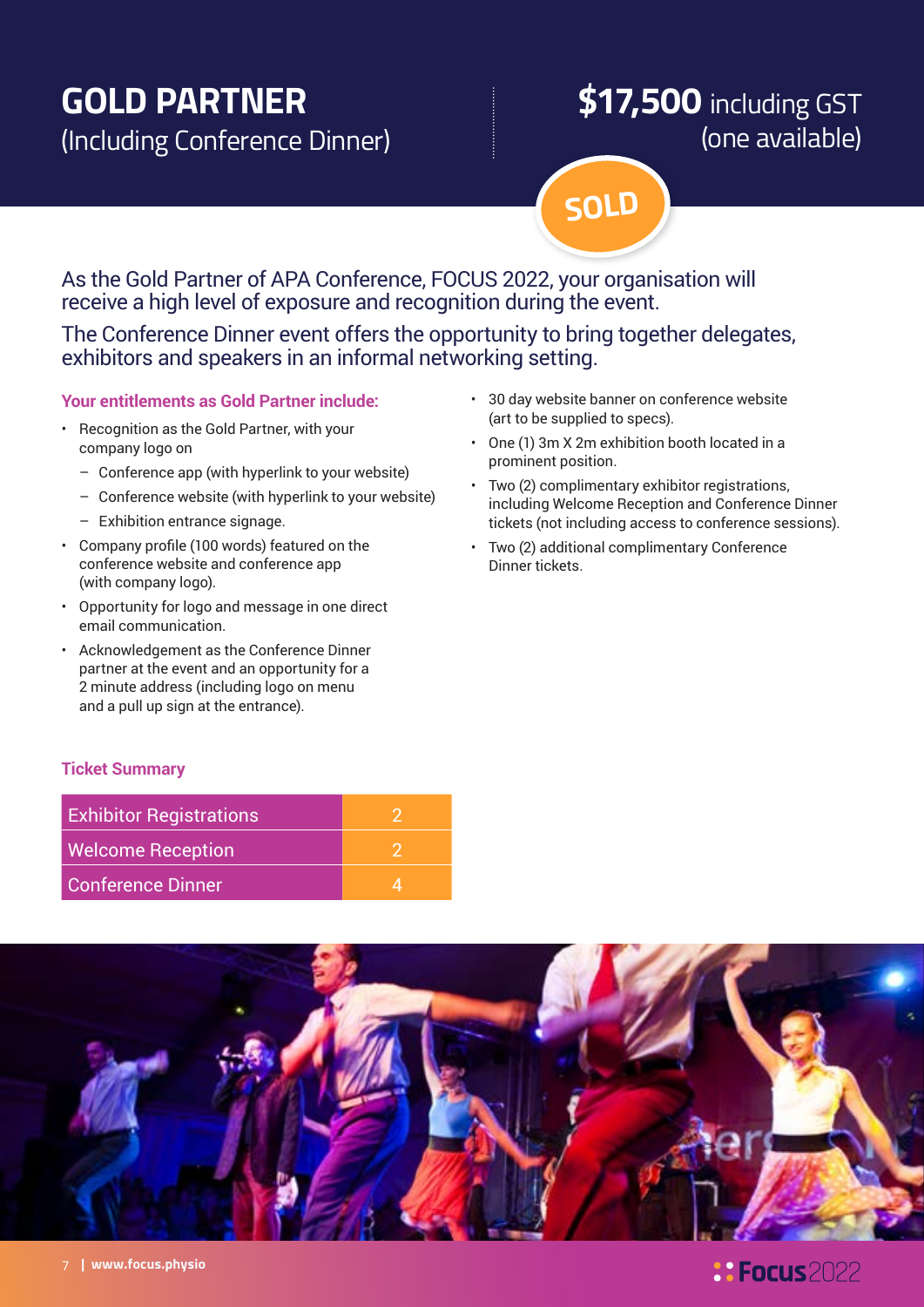## **GOLD PARTNER**

(Including Conference Dinner)

## **\$17,500** including GST (one available)

**SOLD**

### As the Gold Partner of APA Conference, FOCUS 2022, your organisation will receive a high level of exposure and recognition during the event.

The Conference Dinner event offers the opportunity to bring together delegates, exhibitors and speakers in an informal networking setting.

#### **Your entitlements as Gold Partner include:**

- Recognition as the Gold Partner, with your company logo on
	- Conference app (with hyperlink to your website)
	- Conference website (with hyperlink to your website)
	- Exhibition entrance signage.
- Company profile (100 words) featured on the conference website and conference app (with company logo).
- Opportunity for logo and message in one direct email communication.
- Acknowledgement as the Conference Dinner partner at the event and an opportunity for a 2 minute address (including logo on menu and a pull up sign at the entrance).
- 30 day website banner on conference website (art to be supplied to specs).
- One (1) 3m X 2m exhibition booth located in a prominent position.
- Two (2) complimentary exhibitor registrations, including Welcome Reception and Conference Dinner tickets (not including access to conference sessions).
- Two (2) additional complimentary Conference Dinner tickets.

#### **Ticket Summary**

| <b>Exhibitor Registrations</b> |  |
|--------------------------------|--|
| <b>Welcome Reception</b>       |  |
| Conference Dinner              |  |

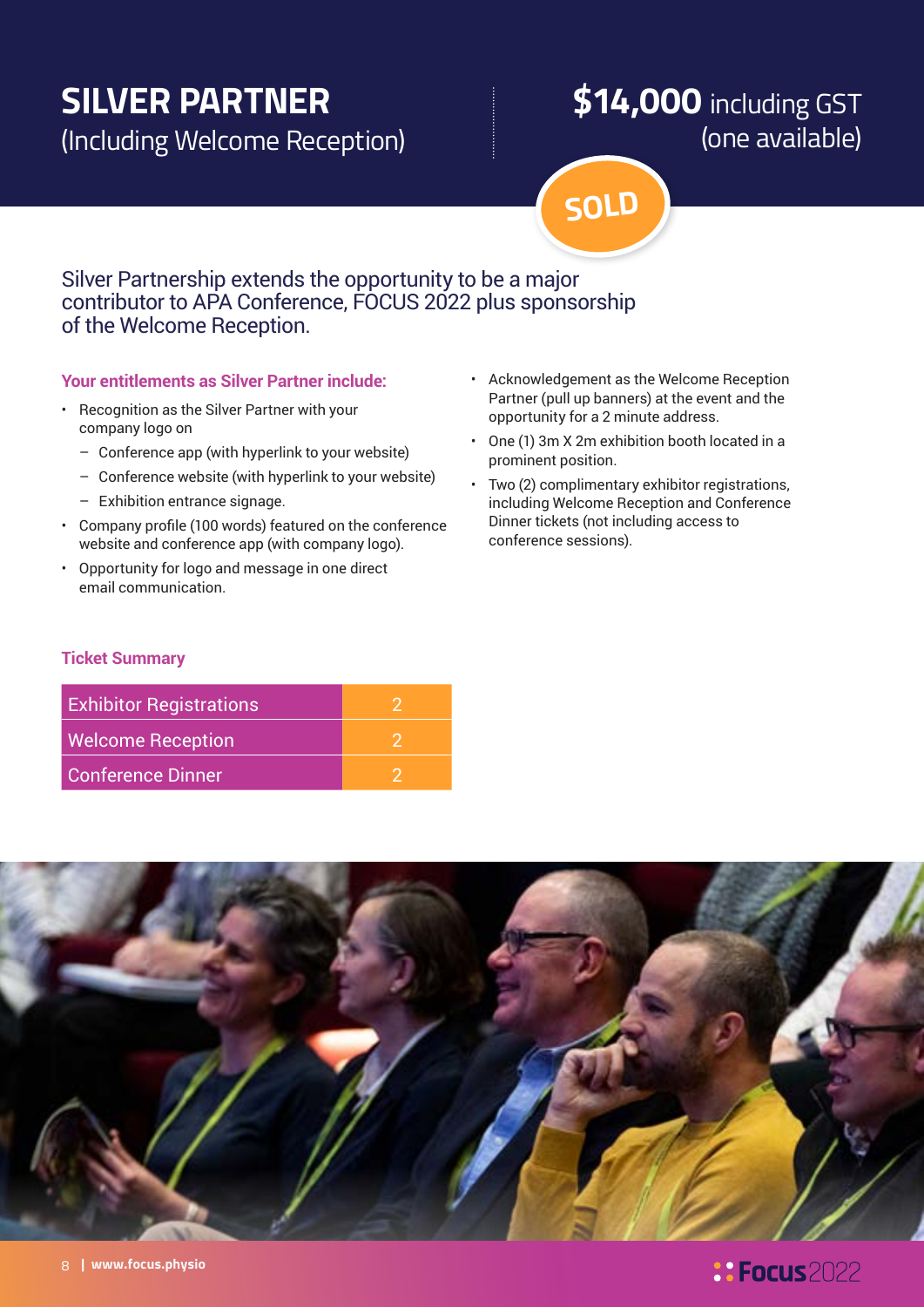## **SILVER PARTNER**

(Including Welcome Reception)

## **\$14,000** including GST (one available)

**SOLD**

### Silver Partnership extends the opportunity to be a major contributor to APA Conference, FOCUS 2022 plus sponsorship of the Welcome Reception.

#### **Your entitlements as Silver Partner include:**

- Recognition as the Silver Partner with your company logo on
	- Conference app (with hyperlink to your website)
	- Conference website (with hyperlink to your website)
	- Exhibition entrance signage.
- Company profile (100 words) featured on the conference website and conference app (with company logo).
- Opportunity for logo and message in one direct email communication.
- Acknowledgement as the Welcome Reception Partner (pull up banners) at the event and the opportunity for a 2 minute address.
- One (1) 3m X 2m exhibition booth located in a prominent position.
- Two (2) complimentary exhibitor registrations, including Welcome Reception and Conference Dinner tickets (not including access to conference sessions).

#### **Ticket Summary**

| <b>Exhibitor Registrations</b> |  |
|--------------------------------|--|
| <b>Welcome Reception</b>       |  |
| <b>Conference Dinner</b>       |  |



### *<u>: Focus</u> 2022*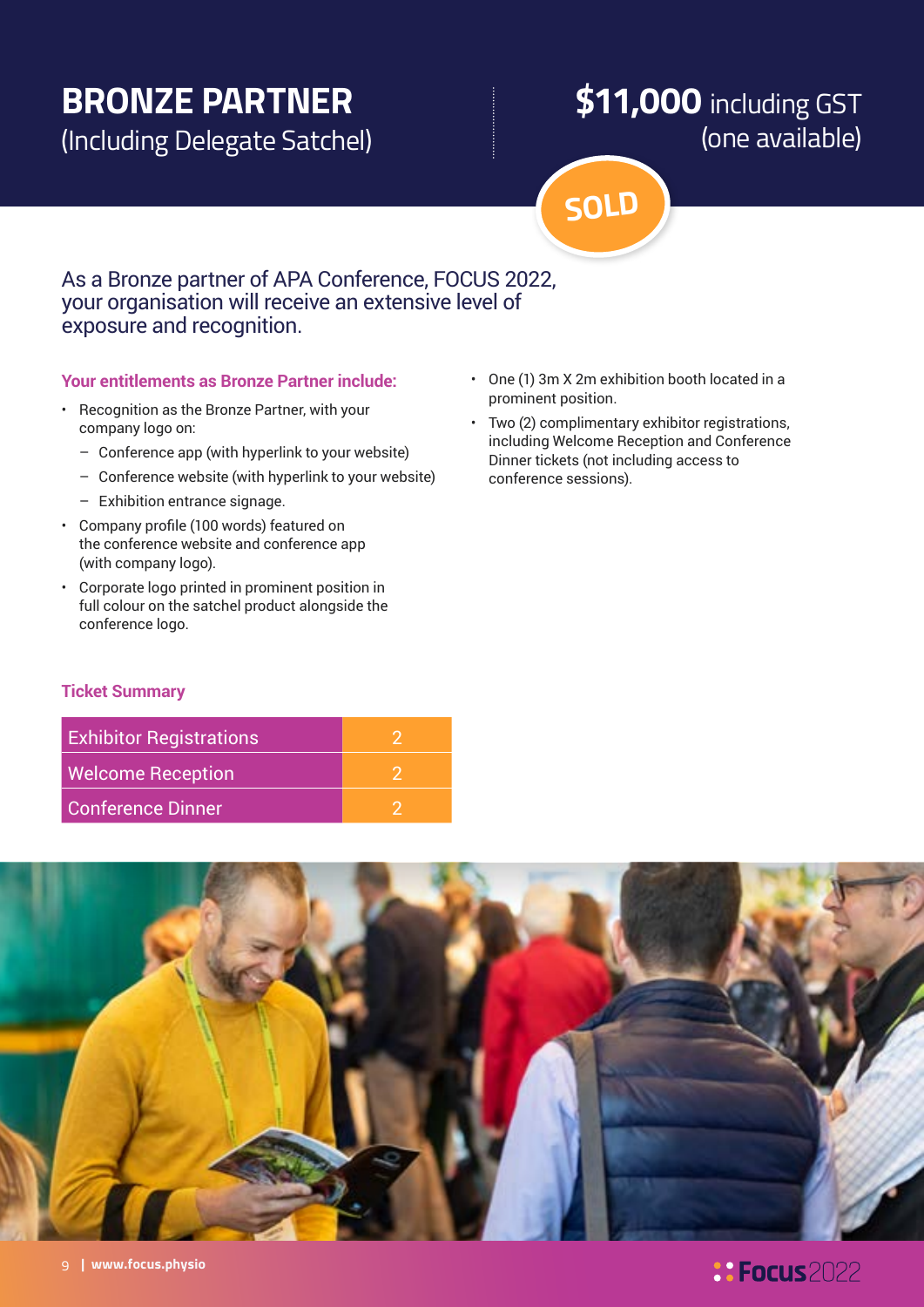## **BRONZE PARTNER**

(Including Delegate Satchel)

## **\$11,000** including GST (one available)

**SOLD**

#### As a Bronze partner of APA Conference, FOCUS 2022, your organisation will receive an extensive level of exposure and recognition.

#### **Your entitlements as Bronze Partner include:**

- Recognition as the Bronze Partner, with your company logo on:
	- Conference app (with hyperlink to your website)
	- Conference website (with hyperlink to your website)
	- Exhibition entrance signage.
- Company profile (100 words) featured on the conference website and conference app (with company logo).
- Corporate logo printed in prominent position in full colour on the satchel product alongside the conference logo.
- One (1) 3m X 2m exhibition booth located in a prominent position.
- Two (2) complimentary exhibitor registrations, including Welcome Reception and Conference Dinner tickets (not including access to conference sessions).

#### **Ticket Summary**

| <b>Exhibitor Registrations</b> |  |
|--------------------------------|--|
| <b>Welcome Reception</b>       |  |
| <b>Conference Dinner</b>       |  |

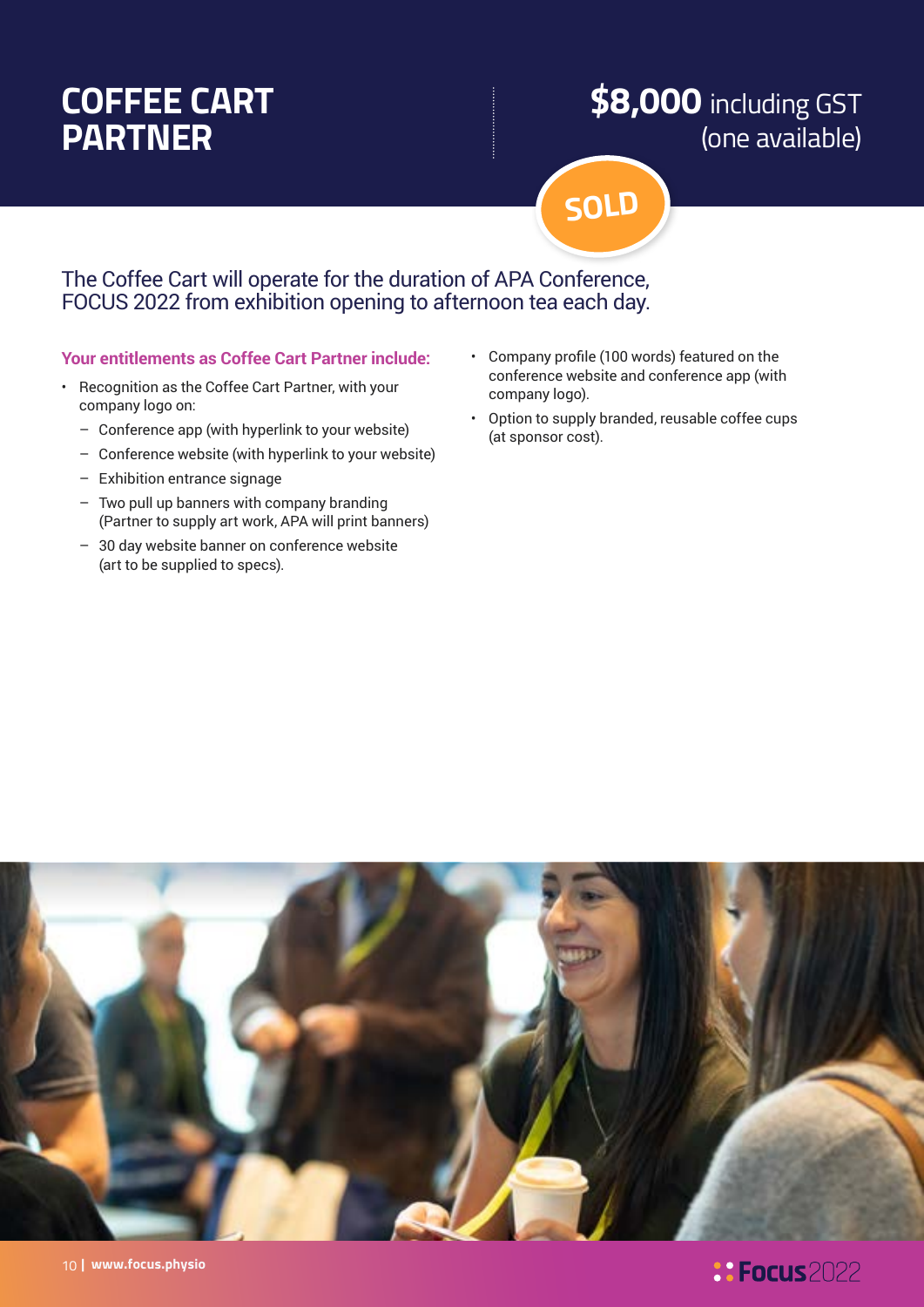## **COFFEE CART PARTNER**

## **\$8,000** including GST (one available)

**SOLD**

The Coffee Cart will operate for the duration of APA Conference, FOCUS 2022 from exhibition opening to afternoon tea each day.

#### **Your entitlements as Coffee Cart Partner include:**

- Recognition as the Coffee Cart Partner, with your company logo on:
	- Conference app (with hyperlink to your website)
	- Conference website (with hyperlink to your website)
	- Exhibition entrance signage
	- Two pull up banners with company branding (Partner to supply art work, APA will print banners)
	- 30 day website banner on conference website (art to be supplied to specs).
- Company profile (100 words) featured on the conference website and conference app (with company logo).
- Option to supply branded, reusable coffee cups (at sponsor cost).

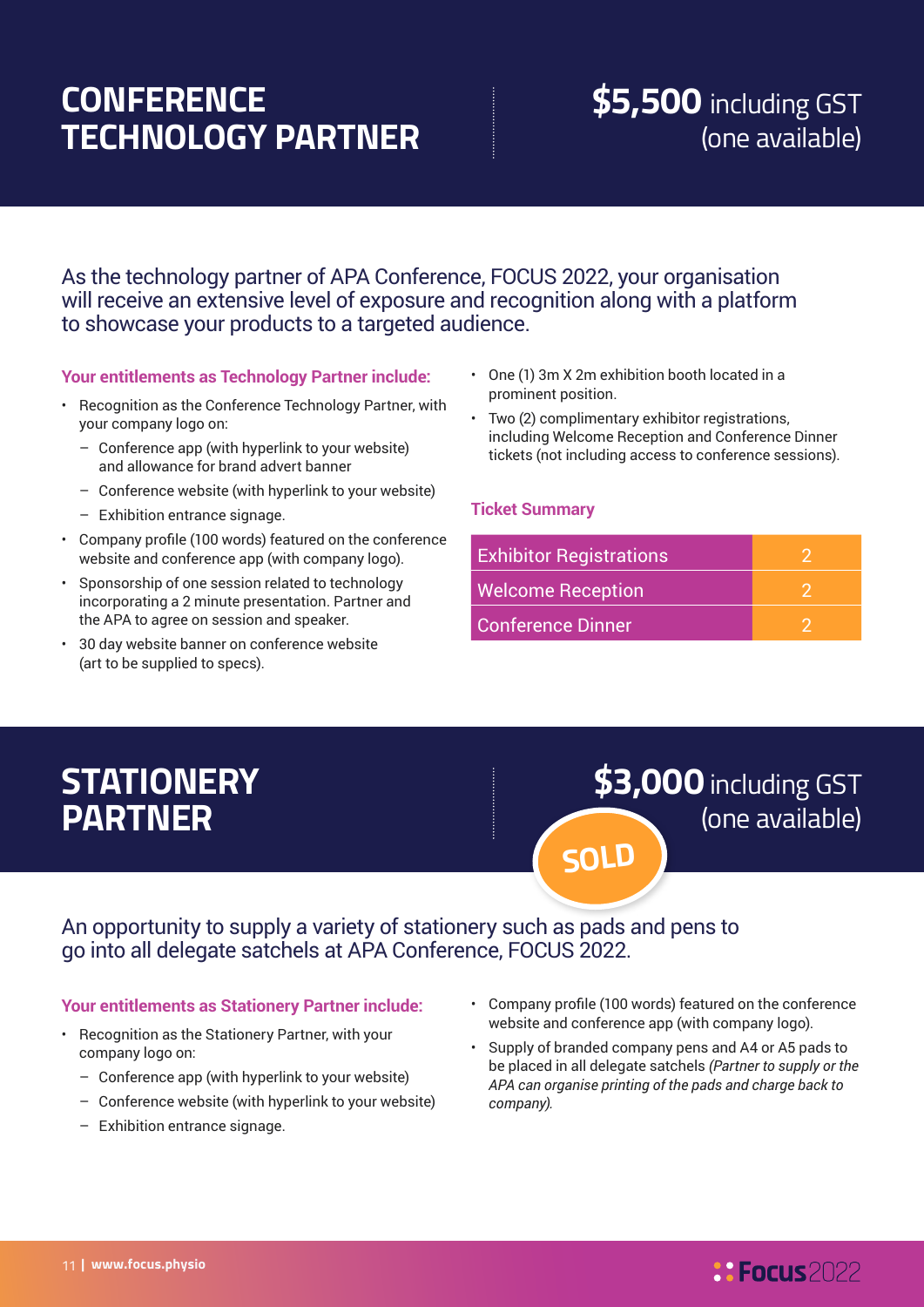## **CONFERENCE TECHNOLOGY PARTNER**

## **\$5,500** including GST (one available)

As the technology partner of APA Conference, FOCUS 2022, your organisation will receive an extensive level of exposure and recognition along with a platform to showcase your products to a targeted audience.

#### **Your entitlements as Technology Partner include:**

- Recognition as the Conference Technology Partner, with your company logo on:
	- Conference app (with hyperlink to your website) and allowance for brand advert banner
	- Conference website (with hyperlink to your website)
	- Exhibition entrance signage.
- Company profile (100 words) featured on the conference website and conference app (with company logo).
- Sponsorship of one session related to technology incorporating a 2 minute presentation. Partner and the APA to agree on session and speaker.
- 30 day website banner on conference website (art to be supplied to specs).
- One (1) 3m X 2m exhibition booth located in a prominent position.
- Two (2) complimentary exhibitor registrations, including Welcome Reception and Conference Dinner tickets (not including access to conference sessions).

#### **Ticket Summary**

| <b>Exhibitor Registrations</b> |  |
|--------------------------------|--|
| <b>Welcome Reception</b>       |  |
| <b>Conference Dinner</b>       |  |

## **STATIONERY PARTNER**

## **\$3,000** including GST (one available) **SOLD**

#### An opportunity to supply a variety of stationery such as pads and pens to go into all delegate satchels at APA Conference, FOCUS 2022.

#### **Your entitlements as Stationery Partner include:**

- Recognition as the Stationery Partner, with your company logo on:
	- Conference app (with hyperlink to your website)
	- Conference website (with hyperlink to your website)
	- Exhibition entrance signage.
- Company profile (100 words) featured on the conference website and conference app (with company logo).
- Supply of branded company pens and A4 or A5 pads to be placed in all delegate satchels *(Partner to supply or the APA can organise printing of the pads and charge back to company).*

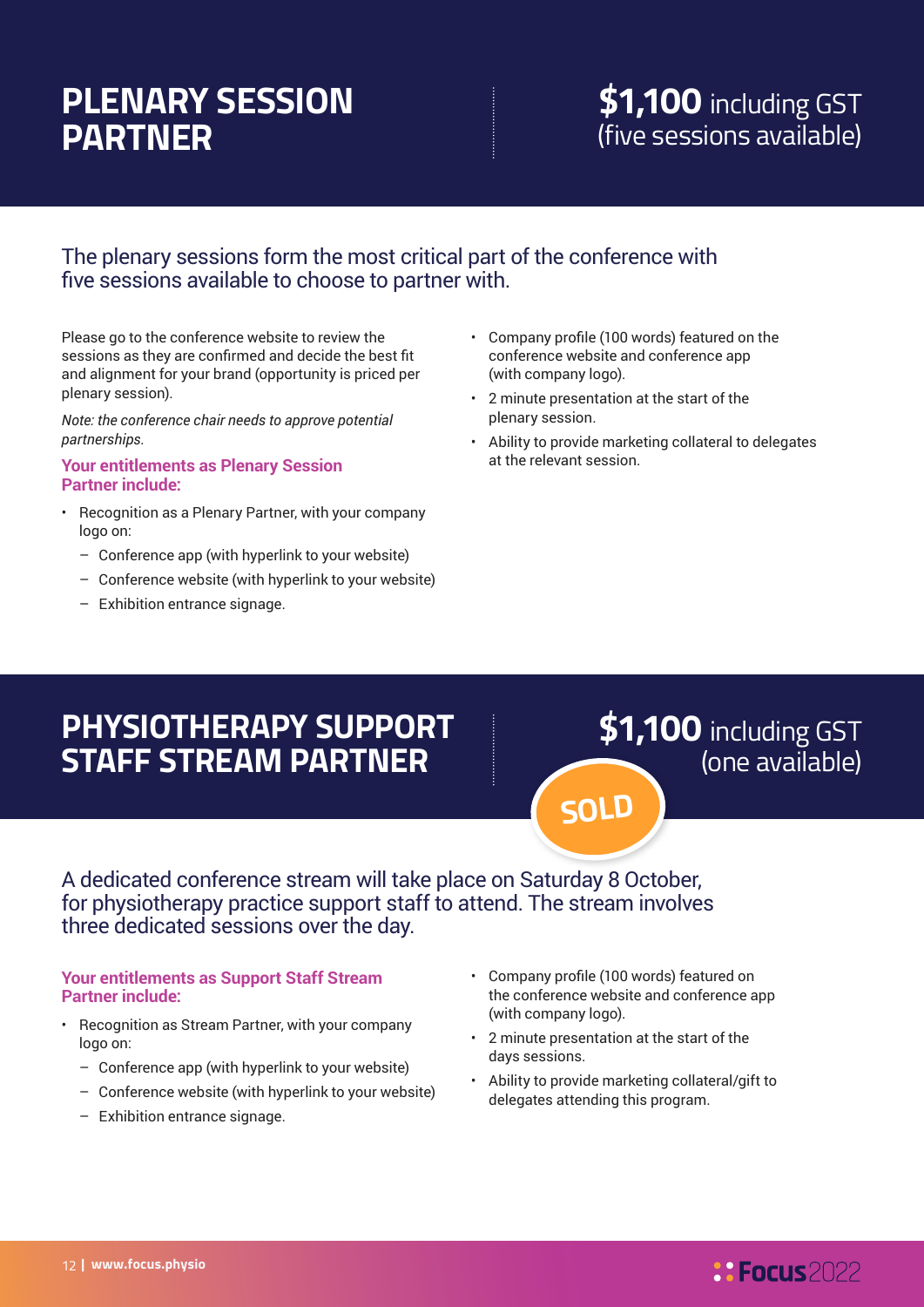## **PLENARY SESSION PARTNER**

## **\$1,100** including GST (five sessions available)

#### The plenary sessions form the most critical part of the conference with five sessions available to choose to partner with.

Please go to the conference website to review the sessions as they are confirmed and decide the best fit and alignment for your brand (opportunity is priced per plenary session).

*Note: the conference chair needs to approve potential partnerships.* 

#### **Your entitlements as Plenary Session Partner include:**

- Recognition as a Plenary Partner, with your company logo on:
	- Conference app (with hyperlink to your website)
	- Conference website (with hyperlink to your website)
	- Exhibition entrance signage.
- Company profile (100 words) featured on the conference website and conference app (with company logo).
- 2 minute presentation at the start of the plenary session.
- Ability to provide marketing collateral to delegates at the relevant session.

## **PHYSIOTHERAPY SUPPORT STAFF STREAM PARTNER**

**\$1,100** including GST (one available)

A dedicated conference stream will take place on Saturday 8 October, for physiotherapy practice support staff to attend. The stream involves three dedicated sessions over the day.

#### **Your entitlements as Support Staff Stream Partner include:**

- Recognition as Stream Partner, with your company logo on:
	- Conference app (with hyperlink to your website)
- Conference website (with hyperlink to your website)
- Exhibition entrance signage.
- Company profile (100 words) featured on the conference website and conference app (with company logo).
- 2 minute presentation at the start of the days sessions.

**SOLD**

• Ability to provide marketing collateral/gift to delegates attending this program.

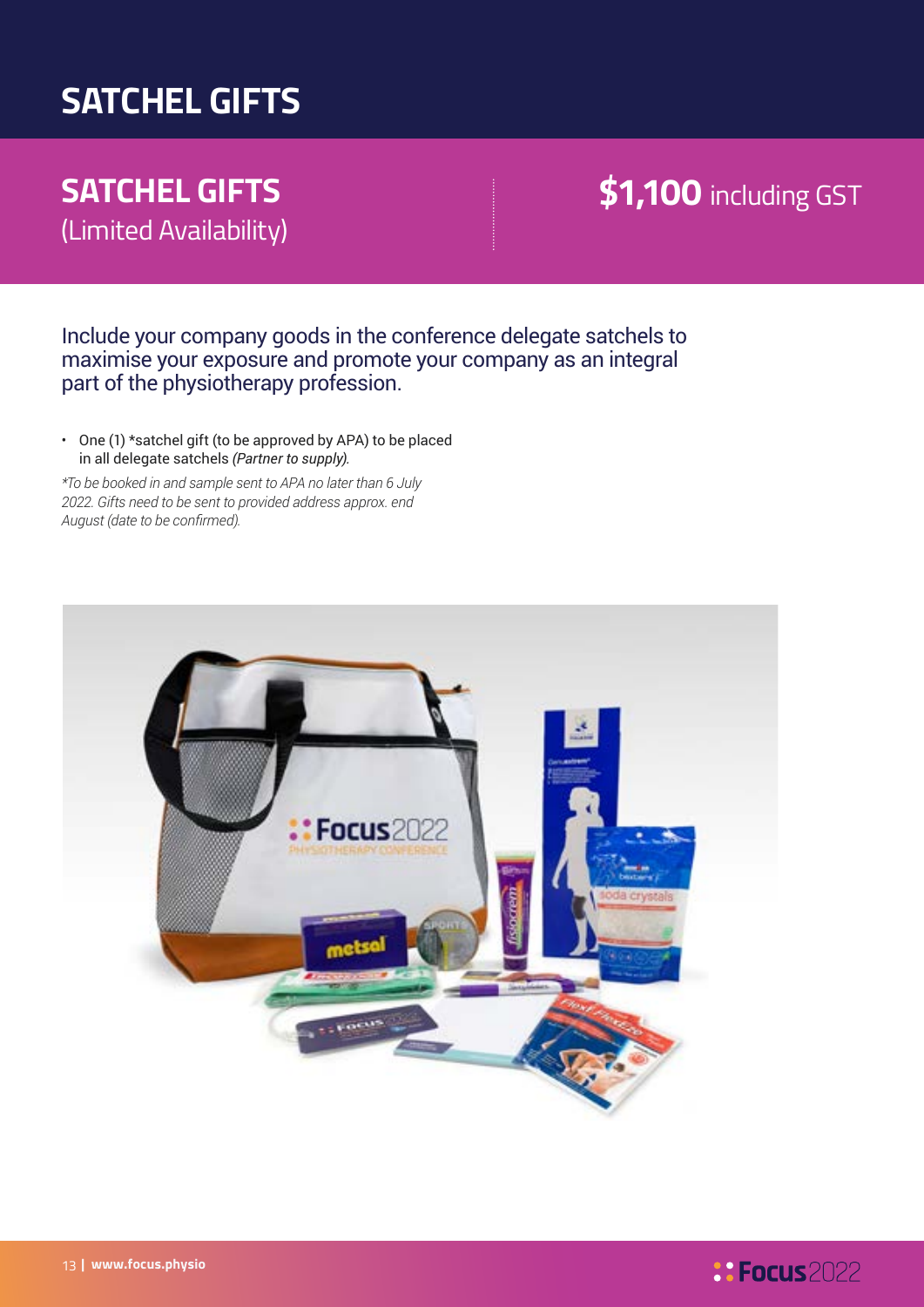## **SATCHEL GIFTS**

## **SATCHEL GIFTS**  (Limited Availability)

## **\$1,100** including GST

Include your company goods in the conference delegate satchels to maximise your exposure and promote your company as an integral part of the physiotherapy profession.

• One (1) \*satchel gift (to be approved by APA) to be placed in all delegate satchels *(Partner to supply).*

*\*To be booked in and sample sent to APA no later than 6 July 2022. Gifts need to be sent to provided address approx. end August (date to be confirmed).*

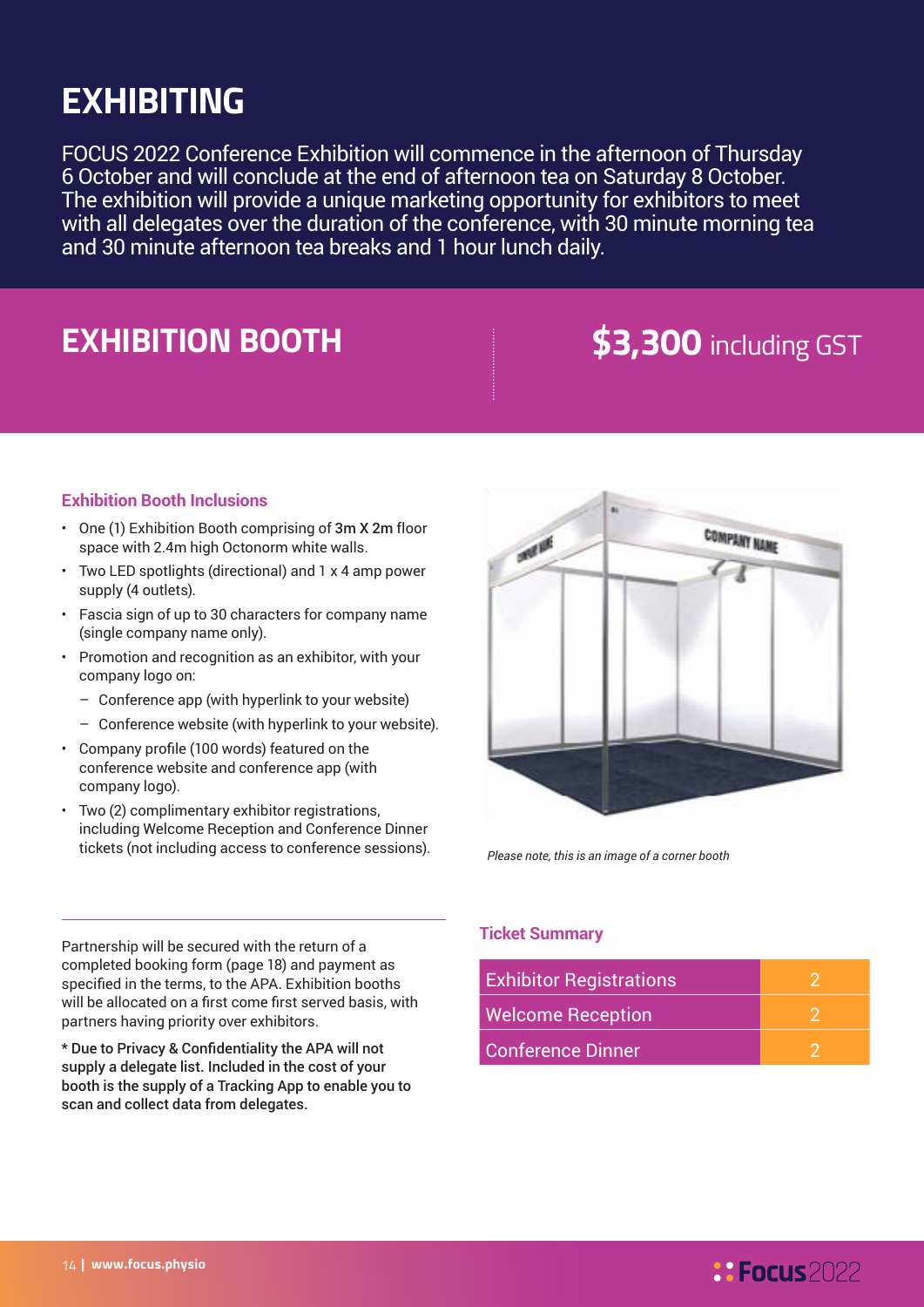## **EXHIBITING**

FOCUS 2022 Conference Exhibition will commence in the afternoon of Thursday 6 October and will conclude at the end of afternoon tea on Saturday 8 October. The exhibition will provide a unique marketing opportunity for exhibitors to meet with all delegates over the duration of the conference, with 30 minute morning tea and 30 minute afternoon tea breaks and 1 hour lunch daily.

## **EXHIBITION BOOTH 53,300** including GST

#### **Exhibition Booth Inclusions**

- One (1) Exhibition Booth comprising of 3m X 2m floor space with 2.4m high Octonorm white walls.
- Two LED spotlights (directional) and 1 x 4 amp power supply (4 outlets).
- Fascia sign of up to 30 characters for company name (single company name only).
- Promotion and recognition as an exhibitor, with your company logo on:
	- Conference app (with hyperlink to your website)
	- Conference website (with hyperlink to your website).
- Company profile (100 words) featured on the conference website and conference app (with company logo).
- Two (2) complimentary exhibitor registrations, including Welcome Reception and Conference Dinner tickets (not including access to conference sessions).



*Please note, this is an image of a corner booth*

Partnership will be secured with the return of a completed booking form (page 18) and payment as specified in the terms, to the APA. Exhibition booths will be allocated on a first come first served basis, with partners having priority over exhibitors.

\* Due to Privacy & Confidentiality the APA will not supply a delegate list. Included in the cost of your booth is the supply of a Tracking App to enable you to scan and collect data from delegates.

#### **Ticket Summary**

| <b>Exhibitor Registrations</b> |  |
|--------------------------------|--|
| <b>Welcome Reception</b>       |  |
| Conference Dinner              |  |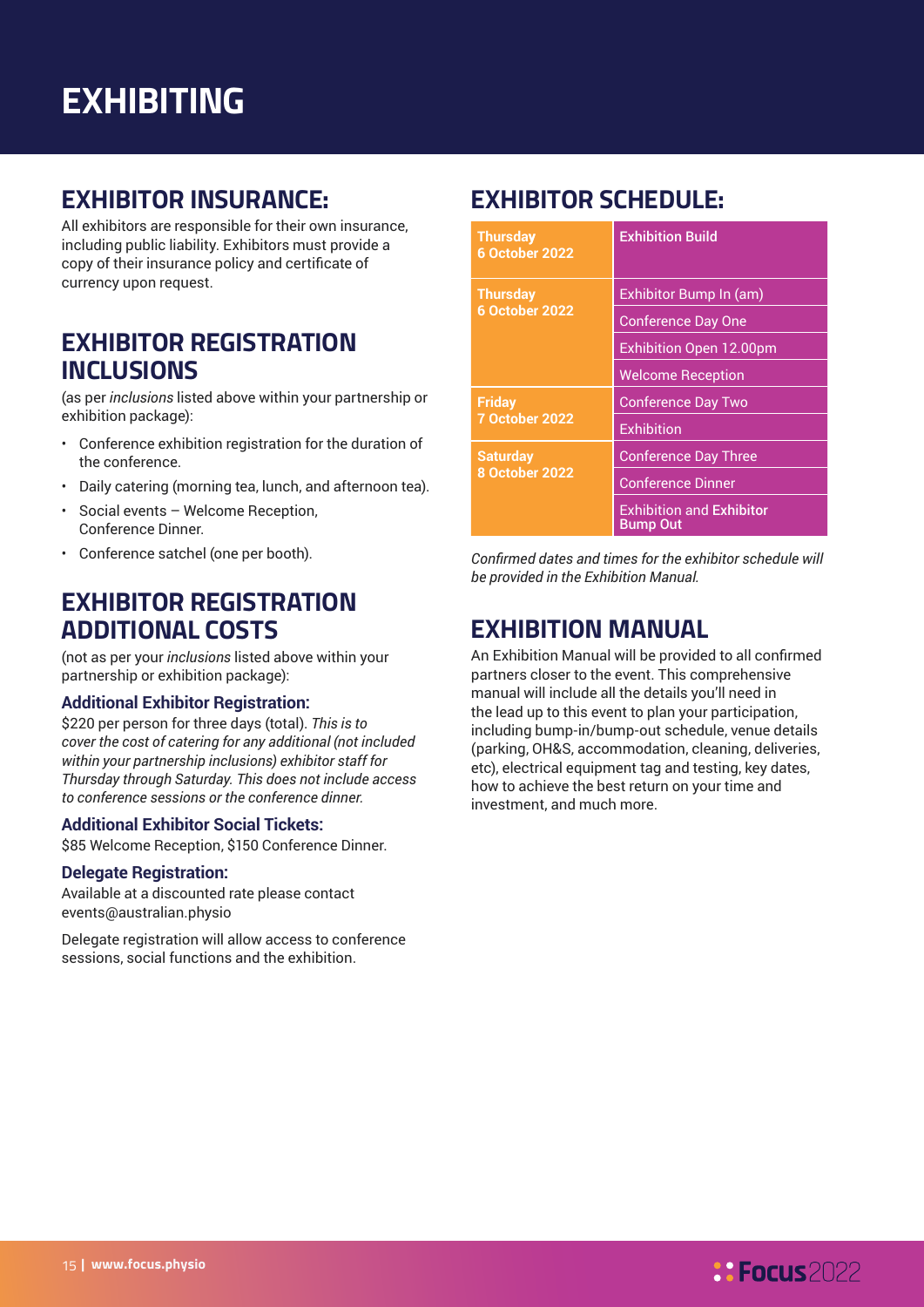### **EXHIBITOR INSURANCE:**

All exhibitors are responsible for their own insurance, including public liability. Exhibitors must provide a copy of their insurance policy and certificate of currency upon request.

### **EXHIBITOR REGISTRATION INCLUSIONS**

(as per *inclusions* listed above within your partnership or exhibition package):

- Conference exhibition registration for the duration of the conference.
- Daily catering (morning tea, lunch, and afternoon tea).
- Social events Welcome Reception, Conference Dinner.
- Conference satchel (one per booth).

### **EXHIBITOR REGISTRATION ADDITIONAL COSTS**

(not as per your *inclusions* listed above within your partnership or exhibition package):

#### **Additional Exhibitor Registration:**

\$220 per person for three days (total). *This is to cover the cost of catering for any additional (not included within your partnership inclusions) exhibitor staff for Thursday through Saturday. This does not include access to conference sessions or the conference dinner.*

#### **Additional Exhibitor Social Tickets:**

\$85 Welcome Reception, \$150 Conference Dinner.

#### **Delegate Registration:**

Available at a discounted rate please contact events@australian.physio

Delegate registration will allow access to conference sessions, social functions and the exhibition.

### **EXHIBITOR SCHEDULE:**

| <b>Thursday</b><br><b>6 October 2022</b> | <b>Exhibition Build</b>                            |  |
|------------------------------------------|----------------------------------------------------|--|
| <b>Thursday</b>                          | Exhibitor Bump In (am)                             |  |
| 6 October 2022                           | <b>Conference Day One</b>                          |  |
|                                          | <b>Exhibition Open 12.00pm</b>                     |  |
|                                          | <b>Welcome Reception</b>                           |  |
| <b>Friday</b>                            | <b>Conference Day Two</b>                          |  |
| <b>7 October 2022</b>                    | <b>Exhibition</b>                                  |  |
| <b>Saturday</b>                          | <b>Conference Day Three</b>                        |  |
| <b>8 October 2022</b>                    | <b>Conference Dinner</b>                           |  |
|                                          | <b>Exhibition and Exhibitor</b><br><b>Bump Out</b> |  |

*Confirmed dates and times for the exhibitor schedule will be provided in the Exhibition Manual.*

### **EXHIBITION MANUAL**

An Exhibition Manual will be provided to all confirmed partners closer to the event. This comprehensive manual will include all the details you'll need in the lead up to this event to plan your participation, including bump-in/bump-out schedule, venue details (parking, OH&S, accommodation, cleaning, deliveries, etc), electrical equipment tag and testing, key dates, how to achieve the best return on your time and investment, and much more.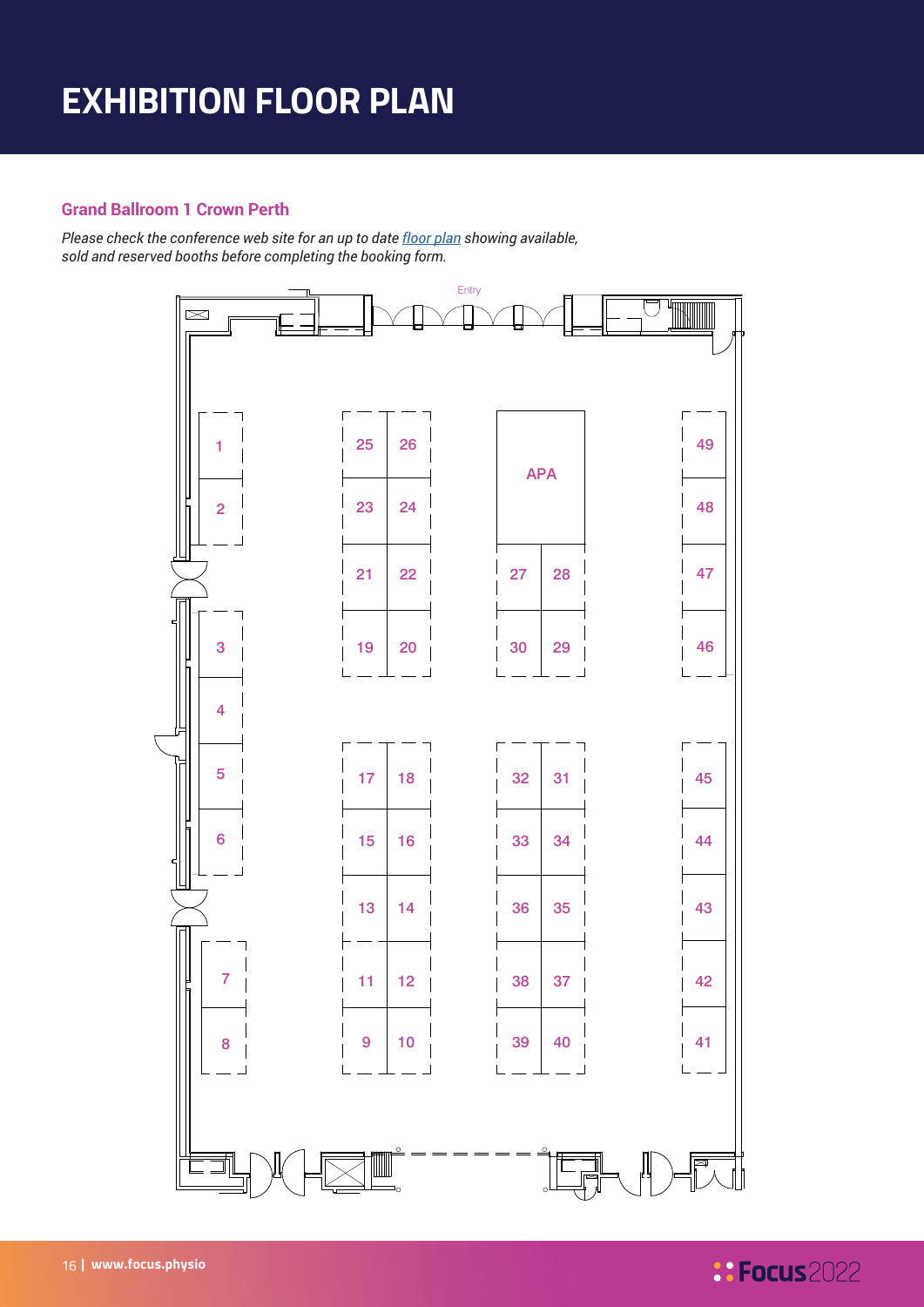## **EXHIBITION FLOOR PLAN**

#### **Grand Ballroom 1 Crown Perth**

*Please check the conference web site for an up to date [floor plan](https://focus.physio/sponsorship-and-exhibition/) showing available, sold and reserved booths before completing the booking form.*



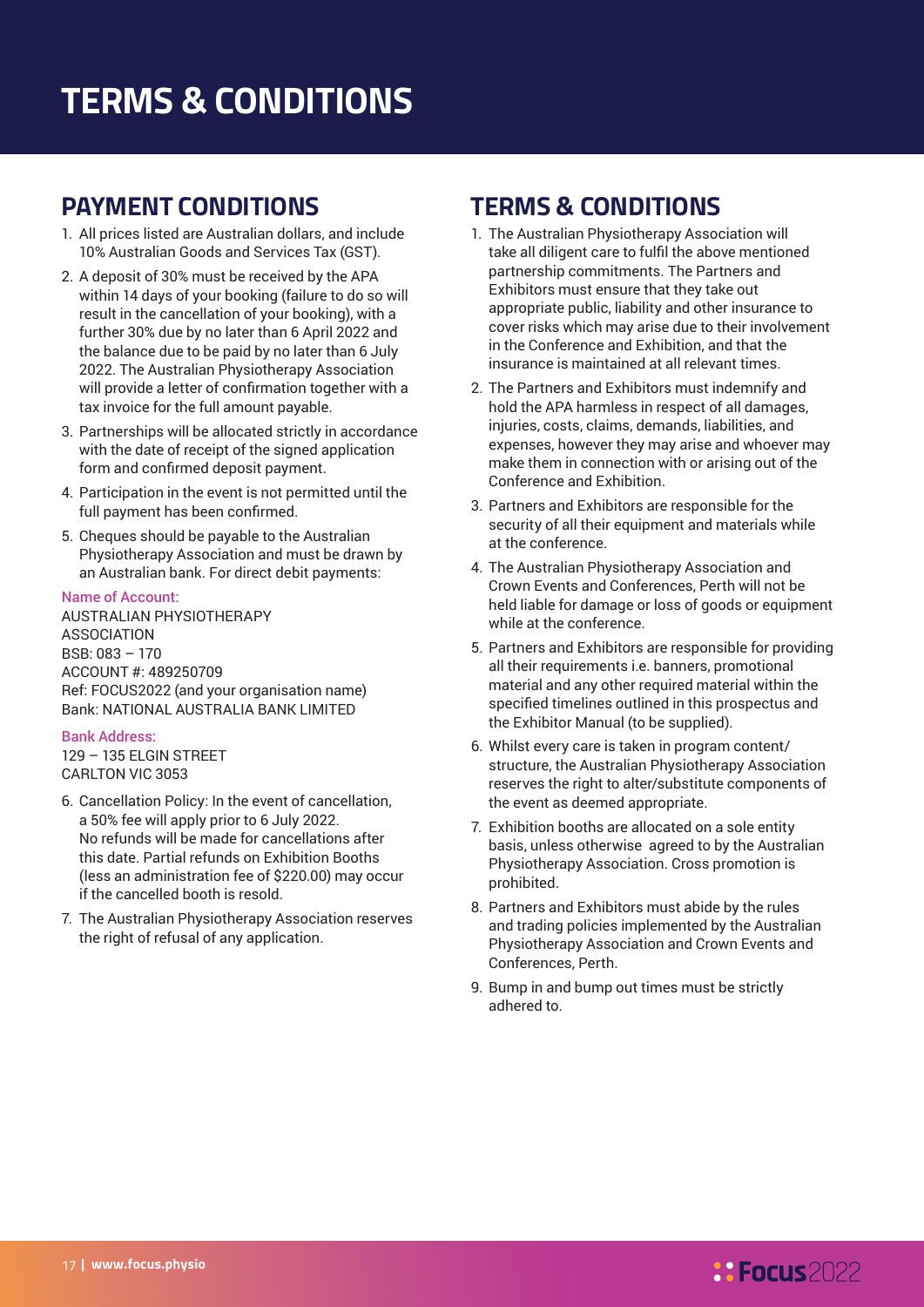## **TERMS & CONDITIONS**

### **PAYMENT CONDITIONS**

- 1. All prices listed are Australian dollars, and include 10% Australian Goods and Services Tax (GST).
- 2. A deposit of 30% must be received by the APA within 14 days of your booking (failure to do so will result in the cancellation of your booking), with a further 30% due by no later than 6 April 2022 and the balance due to be paid by no later than 6 July 2022. The Australian Physiotherapy Association will provide a letter of confirmation together with a tax invoice for the full amount payable.
- 3. Partnerships will be allocated strictly in accordance with the date of receipt of the signed application form and confirmed deposit payment.
- 4. Participation in the event is not permitted until the full payment has been confirmed.
- 5. Cheques should be payable to the Australian Physiotherapy Association and must be drawn by an Australian bank. For direct debit payments:

#### Name of Account:

AUSTRALIAN PHYSIOTHERAPY ASSOCIATION BSB: 083 – 170 ACCOUNT #: 489250709 Ref: FOCUS2022 (and your organisation name) Bank: NATIONAL AUSTRALIA BANK LIMITED

#### Bank Address:

129 – 135 ELGIN STREET CARLTON VIC 3053

- 6. Cancellation Policy: In the event of cancellation, a 50% fee will apply prior to 6 July 2022. No refunds will be made for cancellations after this date. Partial refunds on Exhibition Booths (less an administration fee of \$220.00) may occur if the cancelled booth is resold.
- 7. The Australian Physiotherapy Association reserves the right of refusal of any application.

### **TERMS & CONDITIONS**

- 1. The Australian Physiotherapy Association will take all diligent care to fulfil the above mentioned partnership commitments. The Partners and Exhibitors must ensure that they take out appropriate public, liability and other insurance to cover risks which may arise due to their involvement in the Conference and Exhibition, and that the insurance is maintained at all relevant times.
- 2. The Partners and Exhibitors must indemnify and hold the APA harmless in respect of all damages, injuries, costs, claims, demands, liabilities, and expenses, however they may arise and whoever may make them in connection with or arising out of the Conference and Exhibition.
- 3. Partners and Exhibitors are responsible for the security of all their equipment and materials while at the conference.
- 4. The Australian Physiotherapy Association and Crown Events and Conferences, Perth will not be held liable for damage or loss of goods or equipment while at the conference.
- 5. Partners and Exhibitors are responsible for providing all their requirements i.e. banners, promotional material and any other required material within the specified timelines outlined in this prospectus and the Exhibitor Manual (to be supplied).
- 6. Whilst every care is taken in program content/ structure, the Australian Physiotherapy Association reserves the right to alter/substitute components of the event as deemed appropriate.
- 7. Exhibition booths are allocated on a sole entity basis, unless otherwise agreed to by the Australian Physiotherapy Association. Cross promotion is prohibited.
- 8. Partners and Exhibitors must abide by the rules and trading policies implemented by the Australian Physiotherapy Association and Crown Events and Conferences, Perth.
- 9. Bump in and bump out times must be strictly adhered to.

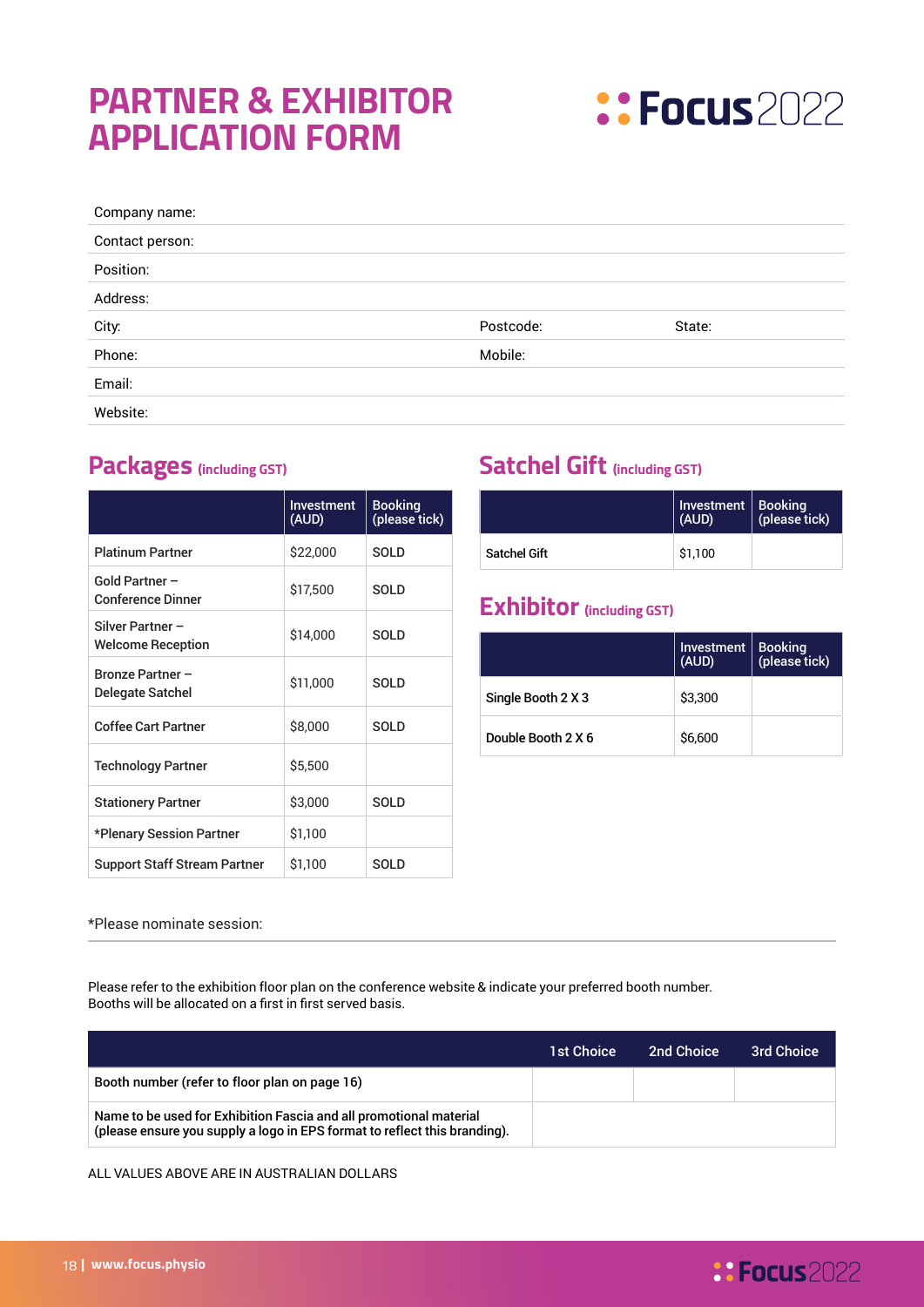## **PARTNER & EXHIBITOR APPLICATION FORM**



| Company name:   |           |        |
|-----------------|-----------|--------|
| Contact person: |           |        |
| Position:       |           |        |
| Address:        |           |        |
| City:           | Postcode: | State: |
| Phone:          | Mobile:   |        |
| Email:          |           |        |
|                 |           |        |

|                                              | Investment<br>(AUD) | <b>Booking</b><br>(please tick) |
|----------------------------------------------|---------------------|---------------------------------|
| <b>Platinum Partner</b>                      | \$22,000            | SOLD                            |
| Gold Partner -<br><b>Conference Dinner</b>   | \$17,500            | SOLD                            |
| Silver Partner -<br><b>Welcome Reception</b> | \$14,000            | SOLD                            |
| Bronze Partner -<br>Delegate Satchel         | \$11,000            | <b>SOLD</b>                     |
| <b>Coffee Cart Partner</b>                   | \$8,000             | SOLD                            |
| <b>Technology Partner</b>                    | \$5,500             |                                 |
| <b>Stationery Partner</b>                    | \$3,000             | <b>SOLD</b>                     |
| *Plenary Session Partner                     | \$1,100             |                                 |
| <b>Support Staff Stream Partner</b>          | \$1,100             | SOLD                            |

### **Packages (including GST) Satchel Gift (including GST)**

|                     | Investment   Booking<br>(AUD) | (please tick) |
|---------------------|-------------------------------|---------------|
| <b>Satchel Gift</b> | \$1.100                       |               |

### **Exhibitor (including GST)**

|                    | Investment<br>(AUD) | Booking<br>(please tick) |
|--------------------|---------------------|--------------------------|
| Single Booth 2 X 3 | \$3,300             |                          |
| Double Booth 2 X 6 | \$6,600             |                          |

**8: Focus** 2022

\*Please nominate session:

Please refer to the exhibition floor plan on the conference website & indicate your preferred booth number. Booths will be allocated on a first in first served basis.

|                                                                                                                                                 | <b>1st Choice</b> | <b>2nd Choice</b> | <b>3rd Choice</b> |
|-------------------------------------------------------------------------------------------------------------------------------------------------|-------------------|-------------------|-------------------|
| Booth number (refer to floor plan on page 16)                                                                                                   |                   |                   |                   |
| Name to be used for Exhibition Fascia and all promotional material<br>(please ensure you supply a logo in EPS format to reflect this branding). |                   |                   |                   |

ALL VALUES ABOVE ARE IN AUSTRALIAN DOLLARS